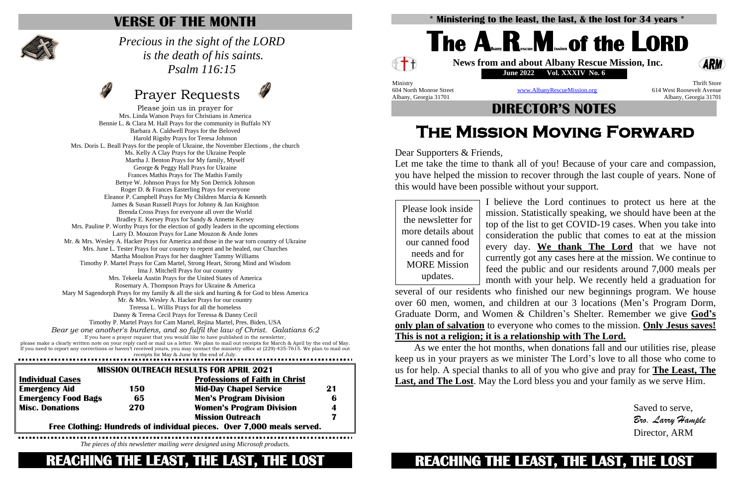needs and for updates.

Please join us in prayer for Mrs. Linda Watson Prays for Christians in America Bennie L. & Clara M. Hall Prays for the community in Buffalo NY Barbara A. Caldwell Prays for the Beloved Harold Rigsby Prays for Teresa Johnson Mrs. Doris L. Beall Prays for the people of Ukraine, the November Elections , the church Ms. Kelly A Clay Prays for the Ukraine People Martha J. Benton Prays for My family, Myself George & Peggy Hall Prays for Ukraine Frances Mathis Prays for The Mathis Family Bettye W. Johnson Prays for My Son Derrick Johnson Roger D. & Frances Easterling Prays for everyone Eleanor P. Campbell Prays for My Children Marcia & Kenneth James & Susan Russell Prays for Johnny & Jan Knighton Brenda Cross Prays for everyone all over the World Bradley E. Kersey Prays for Sandy & Annette Kersey Mrs. Pauline P. Worthy Prays for the election of godly leaders in the upcoming elections Larry D. Mouzon Prays for Lane Mouzon & Ande Jones Mr. & Mrs. Wesley A. Hacker Prays for America and those in the war torn country of Ukraine Mrs. June L. Tester Prays for our country to repent and be healed, our Churches Martha Moulton Prays for her daughter Tammy Williams Timothy P. Martel Prays for Cam Martel, Strong Heart, Strong Mind and Wisdom Ima J. Mitchell Prays for our country Mrs. Tekeela Austin Prays for the United States of America Rosemary A. Thompson Prays for Ukraine & America Mary M Sagendorph Prays for my family  $\&$  all the sick and hurting  $\&$  for God to bless America Mr. & Mrs. Wesley A. Hacker Prays for our country Teressa L. Willis Prays for all the homeless Danny & Teresa Cecil Prays for Teressa & Danny Cecil Timothy P. Martel Prays for Cam Martel, Rejina Martel, Pres. Biden, USA *Bear ye one another's burdens, and so fulfil the law of Christ. Galatians 6:2* If you have a prayer request that you would like to have published in the newsletter, please make a clearly written note on your reply card or mail us a letter. We plan to mail out receipts for March & April by the end of May. If you need to report any corrections or haven't received yours, you may contact the ministry office at (229)-435-7615. We plan to mail out receipts for May & June by the end of July.

### **VERSE OF THE MONTH**



#### *Precious in the sight of the LORD is the death of his saints. Psalm 116:15*

# Prayer Requests



# ℰ<sup>╈</sup>₿ Ministry Thrift Store 604 North Monroe Street [www.AlbanyRescueMission.org](http://www.albanyrescuemission.org/) 614 West Roosevelt Avenue

Please look inside the newsletter for more details about our canned food MORE Mission I believe the Lord continues to protect us here at the mission. Statistically speaking, we should have been at the top of the list to get COVID-19 cases. When you take into consideration the public that comes to eat at the mission every day. **We thank The Lord** that we have not currently got any cases here at the mission. We continue to feed the public and our residents around 7,000 meals per month with your help. We recently held a graduation for several of our residents who finished our new beginnings program. We house over 60 men, women, and children at our 3 locations (Men's Program Dorm, Graduate Dorm, and Women & Children's Shelter. Remember we give **God's only plan of salvation** to everyone who comes to the mission. **Only Jesus saves! This is not a religion; it is a relationship with The Lord.**

|                                                                        |     | <b>MISSION OUTREACH RESULTS FOR APRIL 2021</b> |    |
|------------------------------------------------------------------------|-----|------------------------------------------------|----|
| <b>Individual Cases</b>                                                |     | <b>Professions of Faith in Christ</b>          |    |
| <b>Emergency Aid</b>                                                   | 150 | <b>Mid-Day Chapel Service</b>                  | 21 |
| <b>Emergency Food Bags</b>                                             | 65  | <b>Men's Program Division</b>                  | 6  |
| <b>Misc. Donations</b>                                                 | 270 | <b>Women's Program Division</b>                | 4  |
|                                                                        |     | <b>Mission Outreach</b>                        |    |
| Free Clothing: Hundreds of individual pieces. Over 7,000 meals served. |     |                                                |    |

*The pieces of this newsletter mailing were designed using Microsoft products.*

**REACHING THE LEAST, THE LAST, THE LOST** 

Albany, Georgia 31701 Albany, Georgia 31701

#### **DIRECTOR'S NOTES**

# **The Mission Moving Forward**

Dear Supporters & Friends,

Let me take the time to thank all of you! Because of your care and compassion, you have helped the mission to recover through the last couple of years. None of this would have been possible without your support.



As we enter the hot months, when donations fall and our utilities rise, please keep us in your prayers as we minister The Lord's love to all those who come to us for help. A special thanks to all of you who give and pray for **The Least, The Last, and The Lost**. May the Lord bless you and your family as we serve Him.

> Saved to serve, *Bro. Larry Hample* Director, ARM

# **REACHING THE LEAST, THE LAST, THE LOST**